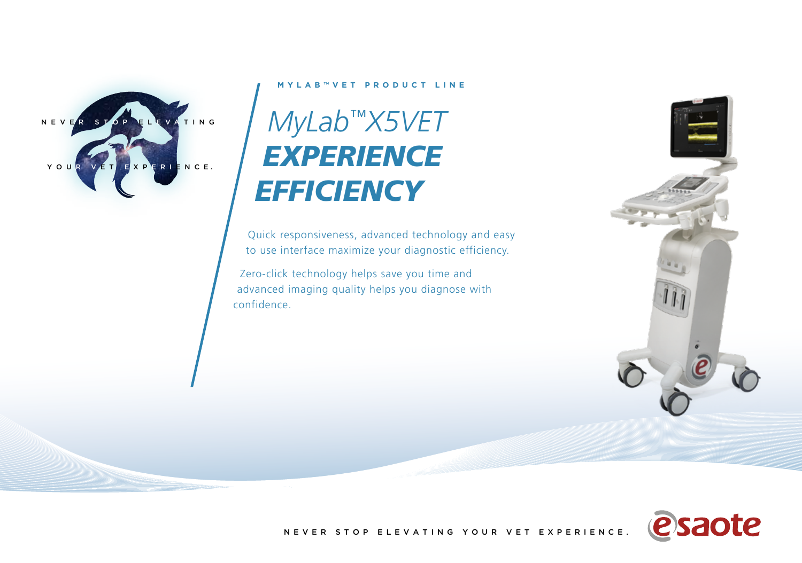

## **MYLAB™VET PRODUCT LINE**

## *MyLab™X5VET EXPERIENCE EFFICIENCY*

Quick responsiveness, advanced technology and easy to use interface maximize your diagnostic efficiency.

Zero-click technology helps save you time and advanced imaging quality helps you diagnose with confidence.